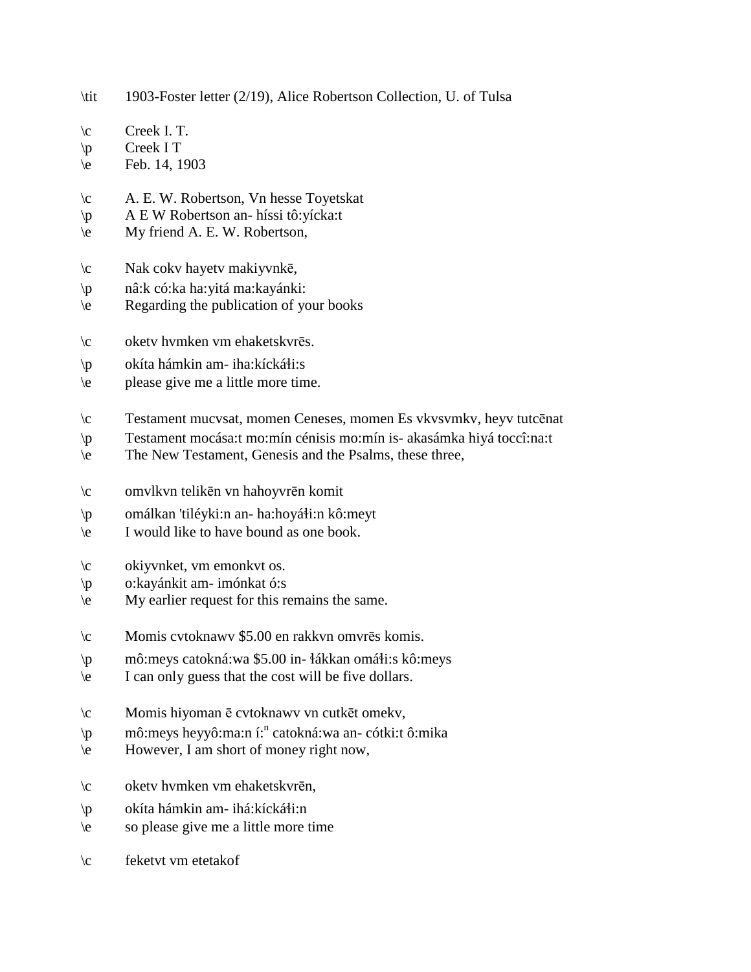\tit 1903-Foster letter (2/19), Alice Robertson Collection, U. of Tulsa \c Creek I. T. \p Creek I T \e Feb. 14, 1903 \c A. E. W. Robertson, Vn hesse Toyetskat \p A E W Robertson an- híssi tô:yícka:t \e My friend A. E. W. Robertson, \c Nak cokv hayetv makiyvnkē, \p nâ:k có:ka ha:yitá ma:kayánki: \e Regarding the publication of your books \c oketv hvmken vm ehaketskvrēs.  $\pi$  okíta hámkin am- iha:kícká $\pi$ i:s \e please give me a little more time. \c Testament mucvsat, momen Ceneses, momen Es vkvsvmkv, heyv tutcēnat \p Testament mocása:t mo:mín cénisis mo:mín is- akasámka hiyá toccî:na:t \e The New Testament, Genesis and the Psalms, these three, \c omvlkvn telikēn vn hahoyvrēn komit \p omálkan 'tiléyki:n an- ha:hoyáti:n kô:meyt \e I would like to have bound as one book. \c okiyvnket, vm emonkvt os. \p o:kayánkit am- imónkat ó:s \e My earlier request for this remains the same. \c Momis cvtoknawv \$5.00 en rakkvn omvrēs komis.  $\pi$  mô:meys catokná:wa \$5.00 in-  $\frac{1}{4}$ ákkan omá $\frac{1}{3}$ :s kô:meys \e I can only guess that the cost will be five dollars. \c Momis hiyoman ē cvtoknawv vn cutkēt omekv, \p mô:meys heyyô:ma:n í:<sup>n</sup> catokná:wa an- cótki:t ô:mika \e However, I am short of money right now, \c oketv hvmken vm ehaketskvrēn,  $\pi$  okíta hámkin am- ihá:kícká $\pi$ :n \e so please give me a little more time \c feketvt vm etetakof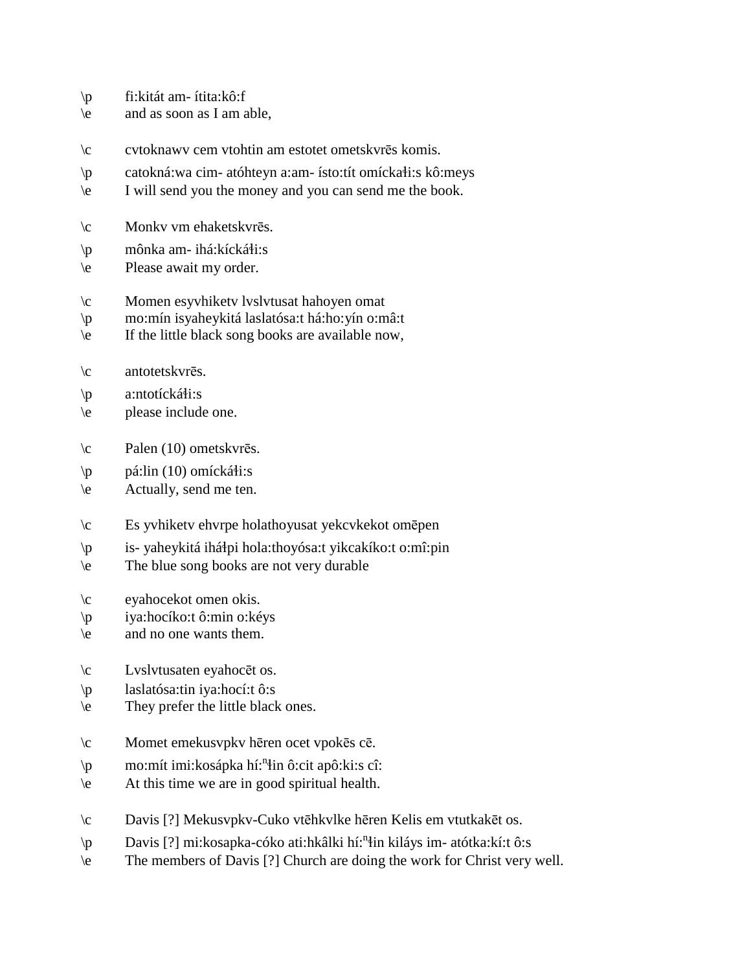- \p fi:kitát am- ítita:kô:f
- $\leq$  and as soon as I am able,
- \c cvtoknawv cem vtohtin am estotet ometskvrēs komis.
- $\pi$  catokná:wa cim- atóhteyn a:am- ísto:tít omícka $\pi$ i:s kô:meys
- \e I will send you the money and you can send me the book.
- \c Monkv vm ehaketskvrēs.
- $\pi$  mônka am- ihá:kícká $\pi$ :s
- \e Please await my order.
- \c Momen esyvhiketv lvslvtusat hahoyen omat
- \p mo:mín isyaheykitá laslatósa:t há:ho:yín o:mâ:t
- $\leq$  If the little black song books are available now,
- \c antotetskvrēs.
- $\pi$  a:ntotícká $\pi$ i:s
- \e please include one.
- \c Palen (10) ometskvrēs.
- $\pi$  pá:lin (10) omícká $\pi$ i:s
- \e Actually, send me ten.
- \c Es yvhiketv ehvrpe holathoyusat yekcvkekot omēpen
- \p is- yaheykitá ihá!pi hola:thoyósa:t yikcakíko:t o:mî:pin
- \e The blue song books are not very durable
- \c eyahocekot omen okis.
- \p iya:hocíko:t ô:min o:kéys
- \e and no one wants them.
- \c Lvslvtusaten eyahocēt os.
- \p laslatósa:tin iya:hocí:t ô:s
- \e They prefer the little black ones.
- \c Momet emekusvpkv hēren ocet vpokēs cē.
- \p mo:mít imi:kosápka hí:<sup>n</sup>in ô:cit apô:ki:s cî:
- \e At this time we are in good spiritual health.
- \c Davis [?] Mekusvpkv-Cuko vtēhkvlke hēren Kelis em vtutkakēt os.
- \p Davis [?] mi:kosapka-cóko ati:hkâlki hí:<sup>n</sup>in kiláys im- atótka:kí:t ô:s
- \e The members of Davis [?] Church are doing the work for Christ very well.